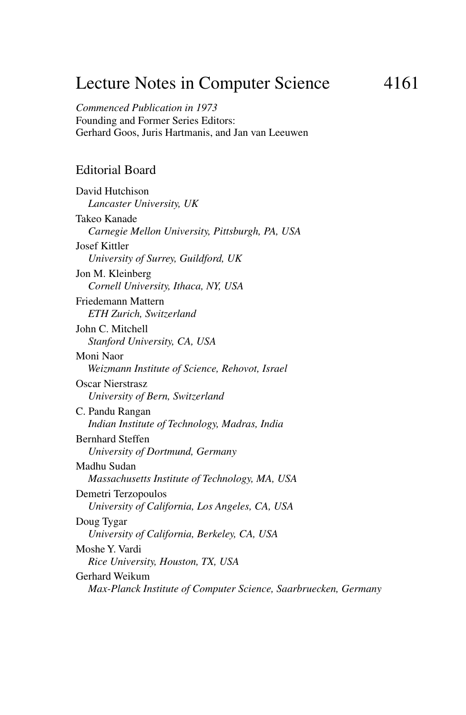# Lecture Notes in Computer Science 4161

*Commenced Publication in 1973* Founding and Former Series Editors: Gerhard Goos, Juris Hartmanis, and Jan van Leeuwen

# Editorial Board

| David Hutchison                                                 |  |
|-----------------------------------------------------------------|--|
| Lancaster University, UK                                        |  |
| Takeo Kanade                                                    |  |
| Carnegie Mellon University, Pittsburgh, PA, USA                 |  |
| Josef Kittler                                                   |  |
| University of Surrey, Guildford, UK                             |  |
| Jon M. Kleinberg                                                |  |
| Cornell University, Ithaca, NY, USA                             |  |
| Friedemann Mattern                                              |  |
| ETH Zurich, Switzerland                                         |  |
| John C. Mitchell                                                |  |
| Stanford University, CA, USA                                    |  |
| Moni Naor                                                       |  |
| Weizmann Institute of Science, Rehovot, Israel                  |  |
| <b>Oscar Nierstrasz</b>                                         |  |
| University of Bern, Switzerland                                 |  |
| C. Pandu Rangan                                                 |  |
| Indian Institute of Technology, Madras, India                   |  |
| <b>Bernhard Steffen</b>                                         |  |
| University of Dortmund, Germany                                 |  |
| Madhu Sudan                                                     |  |
| Massachusetts Institute of Technology, MA, USA                  |  |
| Demetri Terzopoulos                                             |  |
| University of California, Los Angeles, CA, USA                  |  |
| Doug Tygar                                                      |  |
| University of California, Berkeley, CA, USA                     |  |
| Moshe Y. Vardi                                                  |  |
| Rice University, Houston, TX, USA                               |  |
| Gerhard Weikum                                                  |  |
| Max-Planck Institute of Computer Science, Saarbruecken, Germany |  |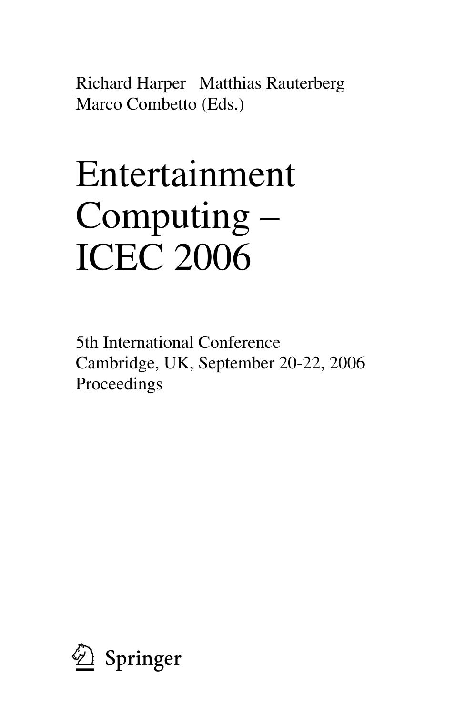Richard Harper Matthias Rauterberg Marco Combetto (Eds.)

# Entertainment Computing – ICEC 2006

5th International Conference Cambridge, UK, September 20-22, 2006 Proceedings

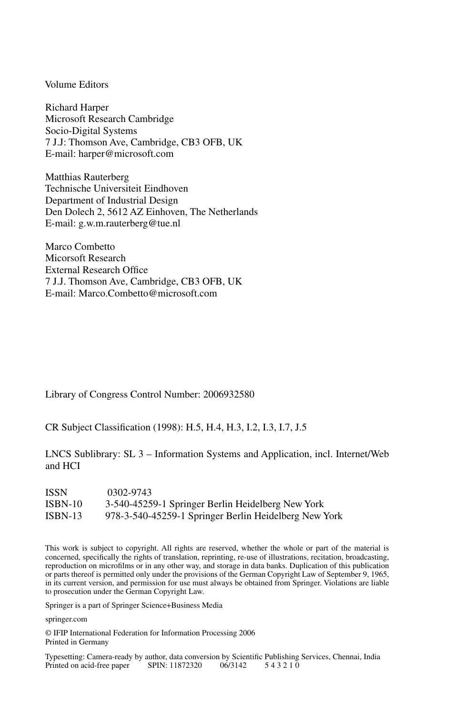Volume Editors

Richard Harper Microsoft Research Cambridge Socio-Digital Systems 7 J.J: Thomson Ave, Cambridge, CB3 OFB, UK E-mail: harper@microsoft.com

Matthias Rauterberg Technische Universiteit Eindhoven Department of Industrial Design Den Dolech 2, 5612 AZ Einhoven, The Netherlands E-mail: g.w.m.rauterberg@tue.nl

Marco Combetto Micorsoft Research External Research Office 7 J.J. Thomson Ave, Cambridge, CB3 OFB, UK E-mail: Marco.Combetto@microsoft.com

Library of Congress Control Number: 2006932580

CR Subject Classification (1998): H.5, H.4, H.3, I.2, I.3, I.7, J.5

LNCS Sublibrary: SL 3 – Information Systems and Application, incl. Internet/Web and HCI

| ISSN    | 0302-9743                                             |
|---------|-------------------------------------------------------|
| ISBN-10 | 3-540-45259-1 Springer Berlin Heidelberg New York     |
| ISBN-13 | 978-3-540-45259-1 Springer Berlin Heidelberg New York |

This work is subject to copyright. All rights are reserved, whether the whole or part of the material is concerned, specifically the rights of translation, reprinting, re-use of illustrations, recitation, broadcasting, reproduction on microfilms or in any other way, and storage in data banks. Duplication of this publication or parts thereof is permitted only under the provisions of the German Copyright Law of September 9, 1965, in its current version, and permission for use must always be obtained from Springer. Violations are liable to prosecution under the German Copyright Law.

Springer is a part of Springer Science+Business Media

springer.com

© IFIP International Federation for Information Processing 2006 Printed in Germany

Typesetting: Camera-ready by author, data conversion by Scientific Publishing Services, Chennai, India Printed on acid-free paper SPIN: 11872320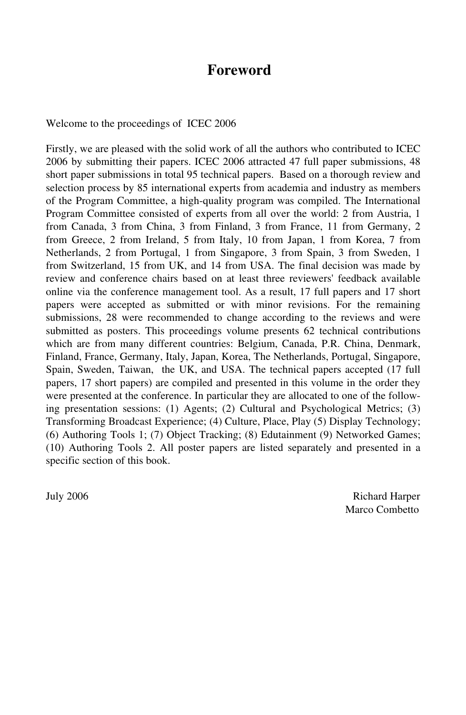# **Foreword**

Welcome to the proceedings of ICEC 2006

Firstly, we are pleased with the solid work of all the authors who contributed to ICEC 2006 by submitting their papers. ICEC 2006 attracted 47 full paper submissions, 48 short paper submissions in total 95 technical papers. Based on a thorough review and selection process by 85 international experts from academia and industry as members of the Program Committee, a high-quality program was compiled. The International Program Committee consisted of experts from all over the world: 2 from Austria, 1 from Canada, 3 from China, 3 from Finland, 3 from France, 11 from Germany, 2 from Greece, 2 from Ireland, 5 from Italy, 10 from Japan, 1 from Korea, 7 from Netherlands, 2 from Portugal, 1 from Singapore, 3 from Spain, 3 from Sweden, 1 from Switzerland, 15 from UK, and 14 from USA. The final decision was made by review and conference chairs based on at least three reviewers' feedback available online via the conference management tool. As a result, 17 full papers and 17 short papers were accepted as submitted or with minor revisions. For the remaining submissions, 28 were recommended to change according to the reviews and were submitted as posters. This proceedings volume presents 62 technical contributions which are from many different countries: Belgium, Canada, P.R. China, Denmark, Finland, France, Germany, Italy, Japan, Korea, The Netherlands, Portugal, Singapore, Spain, Sweden, Taiwan, the UK, and USA. The technical papers accepted (17 full papers, 17 short papers) are compiled and presented in this volume in the order they were presented at the conference. In particular they are allocated to one of the following presentation sessions: (1) Agents; (2) Cultural and Psychological Metrics; (3) Transforming Broadcast Experience; (4) Culture, Place, Play (5) Display Technology; (6) Authoring Tools 1; (7) Object Tracking; (8) Edutainment (9) Networked Games; (10) Authoring Tools 2. All poster papers are listed separately and presented in a specific section of this book.

July 2006 Richard Harper Marco Combetto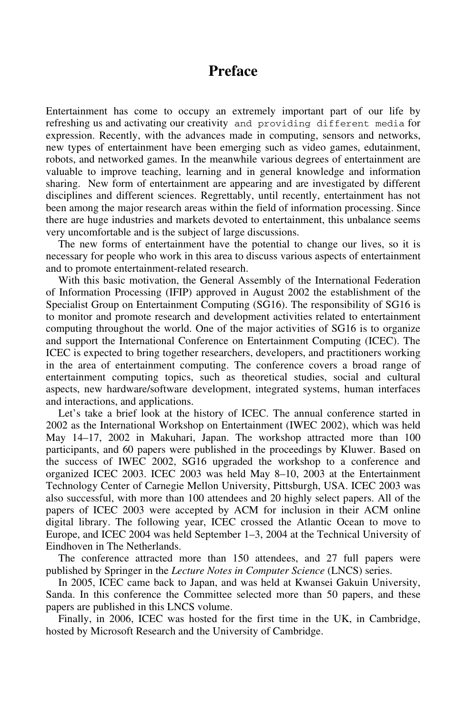# **Preface**

Entertainment has come to occupy an extremely important part of our life by refreshing us and activating our creativity and providing different media for expression. Recently, with the advances made in computing, sensors and networks, new types of entertainment have been emerging such as video games, edutainment, robots, and networked games. In the meanwhile various degrees of entertainment are valuable to improve teaching, learning and in general knowledge and information sharing. New form of entertainment are appearing and are investigated by different disciplines and different sciences. Regrettably, until recently, entertainment has not been among the major research areas within the field of information processing. Since there are huge industries and markets devoted to entertainment, this unbalance seems very uncomfortable and is the subject of large discussions.

The new forms of entertainment have the potential to change our lives, so it is necessary for people who work in this area to discuss various aspects of entertainment and to promote entertainment-related research.

With this basic motivation, the General Assembly of the International Federation of Information Processing (IFIP) approved in August 2002 the establishment of the Specialist Group on Entertainment Computing (SG16). The responsibility of SG16 is to monitor and promote research and development activities related to entertainment computing throughout the world. One of the major activities of SG16 is to organize and support the International Conference on Entertainment Computing (ICEC). The ICEC is expected to bring together researchers, developers, and practitioners working in the area of entertainment computing. The conference covers a broad range of entertainment computing topics, such as theoretical studies, social and cultural aspects, new hardware/software development, integrated systems, human interfaces and interactions, and applications.

Let's take a brief look at the history of ICEC. The annual conference started in 2002 as the International Workshop on Entertainment (IWEC 2002), which was held May 14–17, 2002 in Makuhari, Japan. The workshop attracted more than 100 participants, and 60 papers were published in the proceedings by Kluwer. Based on the success of IWEC 2002, SG16 upgraded the workshop to a conference and organized ICEC 2003. ICEC 2003 was held May 8–10, 2003 at the Entertainment Technology Center of Carnegie Mellon University, Pittsburgh, USA. ICEC 2003 was also successful, with more than 100 attendees and 20 highly select papers. All of the papers of ICEC 2003 were accepted by ACM for inclusion in their ACM online digital library. The following year, ICEC crossed the Atlantic Ocean to move to Europe, and ICEC 2004 was held September 1–3, 2004 at the Technical University of Eindhoven in The Netherlands.

The conference attracted more than 150 attendees, and 27 full papers were published by Springer in the *Lecture Notes in Computer Science* (LNCS) series.

In 2005, ICEC came back to Japan, and was held at Kwansei Gakuin University, Sanda. In this conference the Committee selected more than 50 papers, and these papers are published in this LNCS volume.

Finally, in 2006, ICEC was hosted for the first time in the UK, in Cambridge, hosted by Microsoft Research and the University of Cambridge.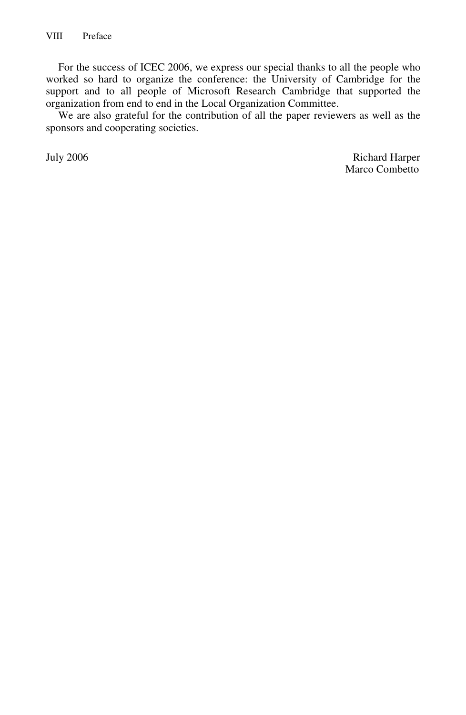For the success of ICEC 2006, we express our special thanks to all the people who worked so hard to organize the conference: the University of Cambridge for the support and to all people of Microsoft Research Cambridge that supported the organization from end to end in the Local Organization Committee.

We are also grateful for the contribution of all the paper reviewers as well as the sponsors and cooperating societies.

July 2006 Richard Harper Marco Combetto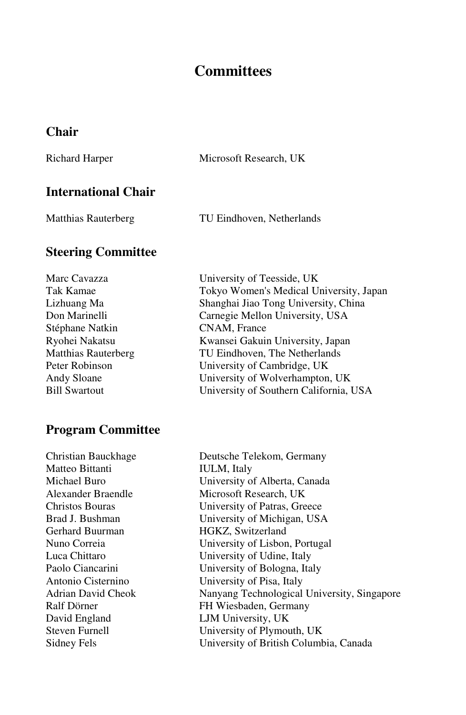# **Committees**

# **Chair**

Richard Harper Microsoft Research, UK

## **International Chair**

Matthias Rauterberg TU Eindhoven, Netherlands

# **Steering Committee**

Stéphane Natkin CNAM, France

Marc Cavazza University of Teesside, UK Tak Kamae Tokyo Women's Medical University, Japan Lizhuang Ma Shanghai Jiao Tong University, China Don Marinelli Carnegie Mellon University, USA Ryohei Nakatsu Kwansei Gakuin University, Japan Matthias Rauterberg TU Eindhoven, The Netherlands Peter Robinson University of Cambridge, UK Andy Sloane University of Wolverhampton, UK Bill Swartout University of Southern California, USA

## **Program Committee**

Matteo Bittanti IULM, Italy Gerhard Buurman HGKZ, Switzerland David England LJM University, UK

Christian Bauckhage Deutsche Telekom, Germany Michael Buro University of Alberta, Canada Alexander Braendle Microsoft Research, UK Christos Bouras University of Patras, Greece Brad J. Bushman University of Michigan, USA University of Lisbon, Portugal Luca Chittaro **University of Udine**, Italy Paolo Ciancarini University of Bologna, Italy Antonio Cisternino University of Pisa, Italy Adrian David Cheok Nanyang Technological University, Singapore Ralf Dörner FH Wiesbaden, Germany Steven Furnell University of Plymouth, UK Sidney Fels University of British Columbia, Canada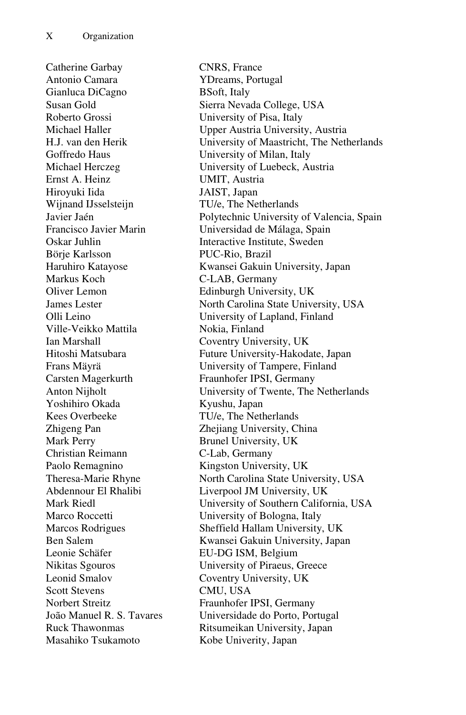Catherine Garbay CNRS, France Antonio Camara YDreams, Portugal Gianluca DiCagno BSoft, Italy Roberto Grossi University of Pisa, Italy Goffredo Haus University of Milan, Italy Ernst A. Heinz UMIT, Austria Hiroyuki Iida JAIST, Japan Wijnand IJsselsteijn TU/e, The Netherlands Börje Karlsson PUC-Rio, Brazil Markus Koch C-LAB, Germany Ville-Veikko Mattila Nokia, Finland Ian Marshall Coventry University, UK Yoshihiro Okada Kyushu, Japan Kees Overbeeke TU/e, The Netherlands Mark Perry Brunel University, UK Christian Reimann C-Lab, Germany Paolo Remagnino Kingston University, UK Leonie Schäfer EU-DG ISM, Belgium Leonid Smalov Coventry University, UK Scott Stevens CMU, USA Masahiko Tsukamoto Kobe Univerity, Japan

Susan Gold Sierra Nevada College, USA Michael Haller Upper Austria University, Austria H.J. van den Herik University of Maastricht, The Netherlands Michael Herczeg University of Luebeck, Austria Javier Jaén Polytechnic University of Valencia, Spain Francisco Javier Marin Universidad de Málaga, Spain Oskar Juhlin Interactive Institute, Sweden Haruhiro Katayose Kwansei Gakuin University, Japan Oliver Lemon Edinburgh University, UK James Lester North Carolina State University, USA Olli Leino University of Lapland, Finland Hitoshi Matsubara Future University-Hakodate, Japan Frans Mäyrä University of Tampere, Finland Carsten Magerkurth Fraunhofer IPSI, Germany Anton Nijholt University of Twente, The Netherlands Zhigeng Pan Zhejiang University, China Theresa-Marie Rhyne North Carolina State University, USA<br>Abdennour El Rhalibi Liverpool JM University. UK Liverpool JM University, UK Mark Riedl University of Southern California, USA Marco Roccetti University of Bologna, Italy Marcos Rodrigues Sheffield Hallam University, UK Ben Salem Kwansei Gakuin University, Japan Nikitas Sgouros University of Piraeus, Greece Norbert Streitz Fraunhofer IPSI, Germany João Manuel R. S. Tavares Universidade do Porto, Portugal Ruck Thawonmas Ritsumeikan University, Japan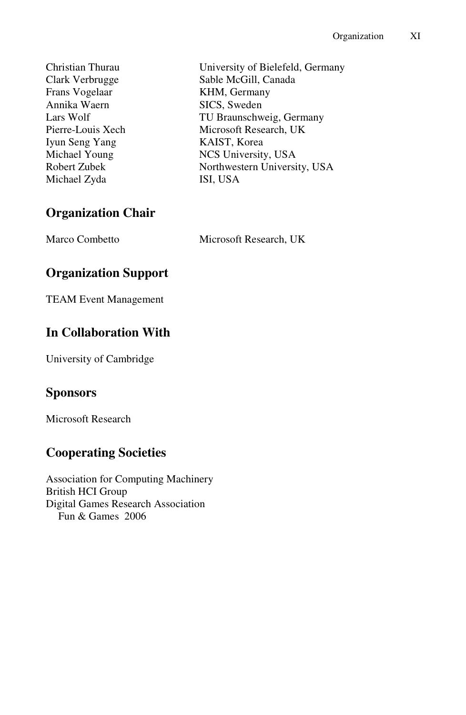| Christian Thurau  | University of Bielefeld, Germany |
|-------------------|----------------------------------|
| Clark Verbrugge   | Sable McGill, Canada             |
| Frans Vogelaar    | KHM, Germany                     |
| Annika Waern      | SICS, Sweden                     |
| Lars Wolf         | TU Braunschweig, Germany         |
| Pierre-Louis Xech | Microsoft Research, UK           |
| Iyun Seng Yang    | KAIST, Korea                     |
| Michael Young     | NCS University, USA              |
| Robert Zubek      | Northwestern University, USA     |
| Michael Zyda      | ISI, USA                         |
|                   |                                  |

# **Organization Chair**

Marco Combetto Microsoft Research, UK

# **Organization Support**

TEAM Event Management

# **In Collaboration With**

University of Cambridge

# **Sponsors**

Microsoft Research

# **Cooperating Societies**

Association for Computing Machinery British HCI Group Digital Games Research Association Fun & Games 2006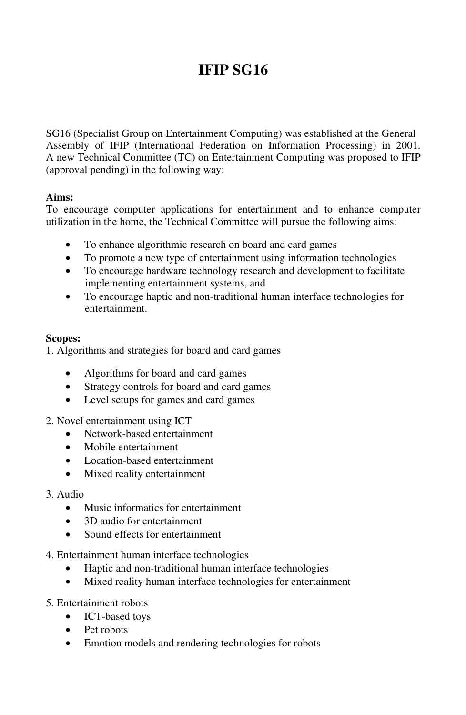# **IFIP SG16**

SG16 (Specialist Group on Entertainment Computing) was established at the General Assembly of IFIP (International Federation on Information Processing) in 2001. A new Technical Committee (TC) on Entertainment Computing was proposed to IFIP (approval pending) in the following way:

#### **Aims:**

To encourage computer applications for entertainment and to enhance computer utilization in the home, the Technical Committee will pursue the following aims:

- To enhance algorithmic research on board and card games
- To promote a new type of entertainment using information technologies
- To encourage hardware technology research and development to facilitate implementing entertainment systems, and
- To encourage haptic and non-traditional human interface technologies for entertainment.

#### **Scopes:**

1. Algorithms and strategies for board and card games

- Algorithms for board and card games
- Strategy controls for board and card games
- Level setups for games and card games

2. Novel entertainment using ICT

- Network-based entertainment
- Mobile entertainment
- Location-based entertainment
- Mixed reality entertainment

#### 3. Audio

- Music informatics for entertainment
- 3D audio for entertainment
- Sound effects for entertainment
- 4. Entertainment human interface technologies
	- Haptic and non-traditional human interface technologies
	- Mixed reality human interface technologies for entertainment
- 5. Entertainment robots
	- ICT-based toys
	- Pet robots
	- Emotion models and rendering technologies for robots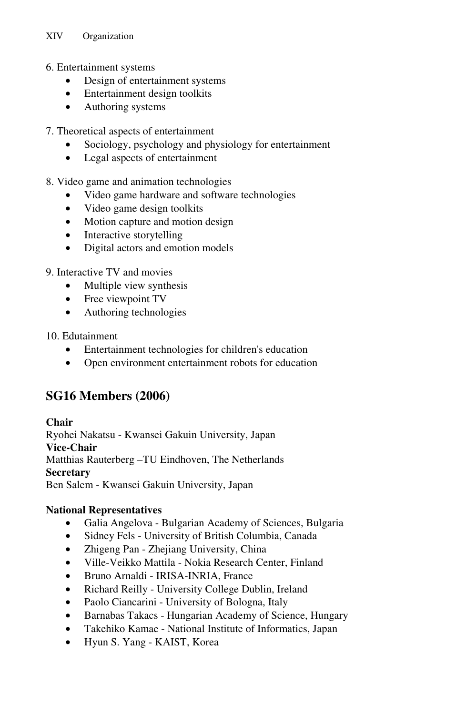- 6. Entertainment systems
	- Design of entertainment systems
	- Entertainment design toolkits
	- Authoring systems
- 7. Theoretical aspects of entertainment
	- Sociology, psychology and physiology for entertainment
	- Legal aspects of entertainment
- 8. Video game and animation technologies
	- Video game hardware and software technologies
	- Video game design toolkits
	- Motion capture and motion design
	- Interactive storytelling
	- Digital actors and emotion models

9. Interactive TV and movies

- Multiple view synthesis
- Free viewpoint TV
- Authoring technologies

10. Edutainment

- Entertainment technologies for children's education
- Open environment entertainment robots for education

# **SG16 Members (2006)**

**Chair**  Ryohei Nakatsu - Kwansei Gakuin University, Japan **Vice-Chair**  Matthias Rauterberg –TU Eindhoven, The Netherlands **Secretary**  Ben Salem - Kwansei Gakuin University, Japan

#### **National Representatives**

- Galia Angelova Bulgarian Academy of Sciences, Bulgaria
- Sidney Fels University of British Columbia, Canada
- Zhigeng Pan Zhejiang University, China
- Ville-Veikko Mattila Nokia Research Center, Finland
- Bruno Arnaldi IRISA-INRIA, France
- Richard Reilly University College Dublin, Ireland
- Paolo Ciancarini University of Bologna, Italy
- Barnabas Takacs Hungarian Academy of Science, Hungary
- Takehiko Kamae National Institute of Informatics, Japan
- Hyun S. Yang KAIST, Korea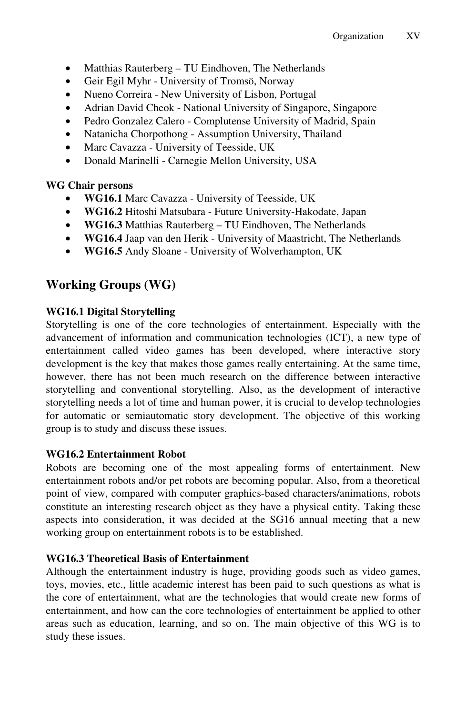- Matthias Rauterberg TU Eindhoven, The Netherlands
- Geir Egil Myhr University of Tromsö, Norway
- Nueno Correira New University of Lisbon, Portugal
- Adrian David Cheok National University of Singapore, Singapore
- Pedro Gonzalez Calero Complutense University of Madrid, Spain
- Natanicha Chorpothong Assumption University, Thailand
- Marc Cavazza University of Teesside, UK
- Donald Marinelli Carnegie Mellon University, USA

#### **WG Chair persons**

- **WG16.1** Marc Cavazza University of Teesside, UK
- **WG16.2** Hitoshi Matsubara Future University-Hakodate, Japan
- **WG16.3** Matthias Rauterberg TU Eindhoven, The Netherlands
- **WG16.4** Jaap van den Herik University of Maastricht, The Netherlands
- **WG16.5** Andy Sloane University of Wolverhampton, UK

# **Working Groups (WG)**

#### **WG16.1 Digital Storytelling**

Storytelling is one of the core technologies of entertainment. Especially with the advancement of information and communication technologies (ICT), a new type of entertainment called video games has been developed, where interactive story development is the key that makes those games really entertaining. At the same time, however, there has not been much research on the difference between interactive storytelling and conventional storytelling. Also, as the development of interactive storytelling needs a lot of time and human power, it is crucial to develop technologies for automatic or semiautomatic story development. The objective of this working group is to study and discuss these issues.

#### **WG16.2 Entertainment Robot**

Robots are becoming one of the most appealing forms of entertainment. New entertainment robots and/or pet robots are becoming popular. Also, from a theoretical point of view, compared with computer graphics-based characters/animations, robots constitute an interesting research object as they have a physical entity. Taking these aspects into consideration, it was decided at the SG16 annual meeting that a new working group on entertainment robots is to be established.

#### **WG16.3 Theoretical Basis of Entertainment**

Although the entertainment industry is huge, providing goods such as video games, toys, movies, etc., little academic interest has been paid to such questions as what is the core of entertainment, what are the technologies that would create new forms of entertainment, and how can the core technologies of entertainment be applied to other areas such as education, learning, and so on. The main objective of this WG is to study these issues.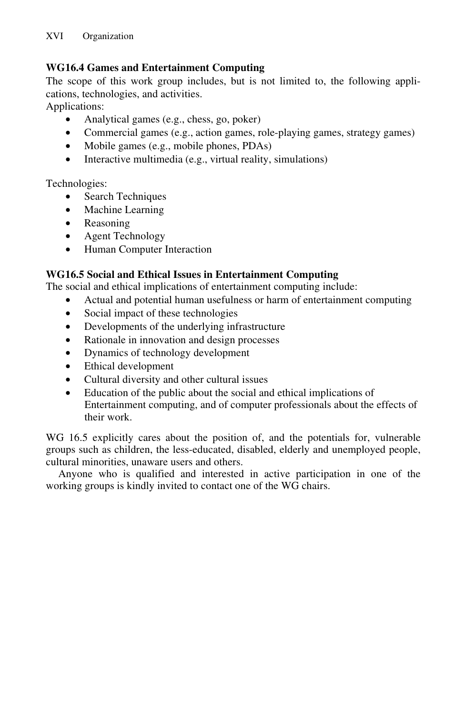#### **WG16.4 Games and Entertainment Computing**

The scope of this work group includes, but is not limited to, the following applications, technologies, and activities.

Applications:

- Analytical games (e.g., chess, go, poker)
- Commercial games (e.g., action games, role-playing games, strategy games)
- Mobile games (e.g., mobile phones, PDAs)
- Interactive multimedia (e.g., virtual reality, simulations)

Technologies:

- Search Techniques
- Machine Learning
- Reasoning
- Agent Technology
- Human Computer Interaction

#### **WG16.5 Social and Ethical Issues in Entertainment Computing**

The social and ethical implications of entertainment computing include:

- Actual and potential human usefulness or harm of entertainment computing
- Social impact of these technologies
- Developments of the underlying infrastructure
- Rationale in innovation and design processes
- Dynamics of technology development
- Ethical development
- Cultural diversity and other cultural issues
- Education of the public about the social and ethical implications of Entertainment computing, and of computer professionals about the effects of their work.

WG 16.5 explicitly cares about the position of, and the potentials for, vulnerable groups such as children, the less-educated, disabled, elderly and unemployed people, cultural minorities, unaware users and others.

Anyone who is qualified and interested in active participation in one of the working groups is kindly invited to contact one of the WG chairs.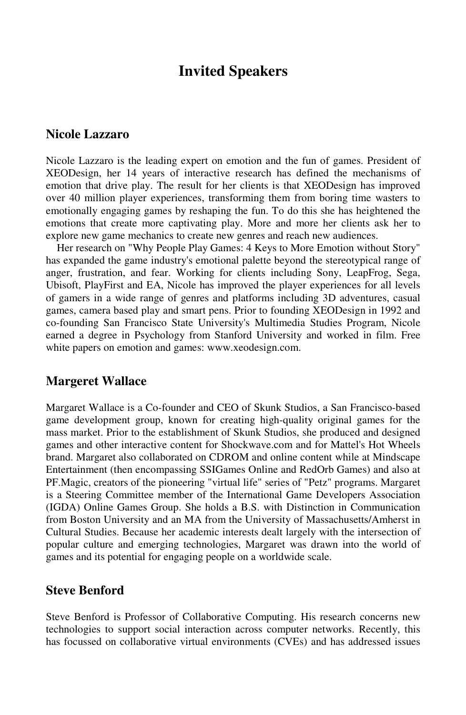# **Invited Speakers**

#### **Nicole Lazzaro**

Nicole Lazzaro is the leading expert on emotion and the fun of games. President of XEODesign, her 14 years of interactive research has defined the mechanisms of emotion that drive play. The result for her clients is that XEODesign has improved over 40 million player experiences, transforming them from boring time wasters to emotionally engaging games by reshaping the fun. To do this she has heightened the emotions that create more captivating play. More and more her clients ask her to explore new game mechanics to create new genres and reach new audiences.

 Her research on "Why People Play Games: 4 Keys to More Emotion without Story" has expanded the game industry's emotional palette beyond the stereotypical range of anger, frustration, and fear. Working for clients including Sony, LeapFrog, Sega, Ubisoft, PlayFirst and EA, Nicole has improved the player experiences for all levels of gamers in a wide range of genres and platforms including 3D adventures, casual games, camera based play and smart pens. Prior to founding XEODesign in 1992 and co-founding San Francisco State University's Multimedia Studies Program, Nicole earned a degree in Psychology from Stanford University and worked in film. Free white papers on emotion and games: www.xeodesign.com.

#### **Margeret Wallace**

Margaret Wallace is a Co-founder and CEO of Skunk Studios, a San Francisco-based game development group, known for creating high-quality original games for the mass market. Prior to the establishment of Skunk Studios, she produced and designed games and other interactive content for Shockwave.com and for Mattel's Hot Wheels brand. Margaret also collaborated on CDROM and online content while at Mindscape Entertainment (then encompassing SSIGames Online and RedOrb Games) and also at PF.Magic, creators of the pioneering "virtual life" series of "Petz" programs. Margaret is a Steering Committee member of the International Game Developers Association (IGDA) Online Games Group. She holds a B.S. with Distinction in Communication from Boston University and an MA from the University of Massachusetts/Amherst in Cultural Studies. Because her academic interests dealt largely with the intersection of popular culture and emerging technologies, Margaret was drawn into the world of games and its potential for engaging people on a worldwide scale.

#### **Steve Benford**

Steve Benford is Professor of Collaborative Computing. His research concerns new technologies to support social interaction across computer networks. Recently, this has focussed on collaborative virtual environments (CVEs) and has addressed issues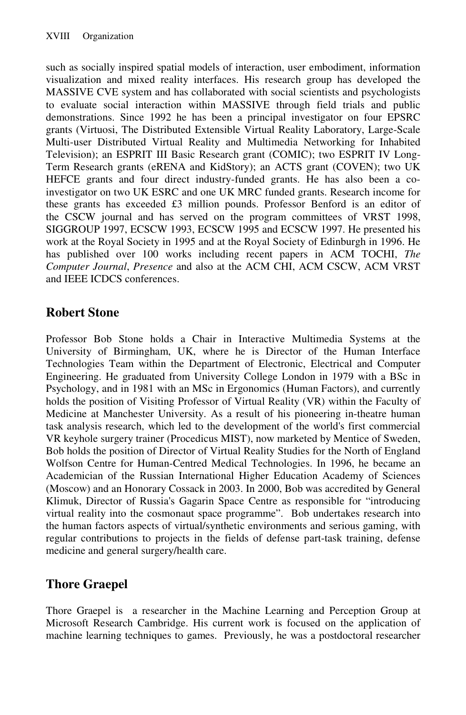such as socially inspired spatial models of interaction, user embodiment, information visualization and mixed reality interfaces. His research group has developed the MASSIVE CVE system and has collaborated with social scientists and psychologists to evaluate social interaction within MASSIVE through field trials and public demonstrations. Since 1992 he has been a principal investigator on four EPSRC grants (Virtuosi, The Distributed Extensible Virtual Reality Laboratory, Large-Scale Multi-user Distributed Virtual Reality and Multimedia Networking for Inhabited Television); an ESPRIT III Basic Research grant (COMIC); two ESPRIT IV Long-Term Research grants (eRENA and KidStory); an ACTS grant (COVEN); two UK HEFCE grants and four direct industry-funded grants. He has also been a coinvestigator on two UK ESRC and one UK MRC funded grants. Research income for these grants has exceeded £3 million pounds. Professor Benford is an editor of the CSCW journal and has served on the program committees of VRST 1998, SIGGROUP 1997, ECSCW 1993, ECSCW 1995 and ECSCW 1997. He presented his work at the Royal Society in 1995 and at the Royal Society of Edinburgh in 1996. He has published over 100 works including recent papers in ACM TOCHI, *The Computer Journal*, *Presence* and also at the ACM CHI, ACM CSCW, ACM VRST and IEEE ICDCS conferences.

# **Robert Stone**

Professor Bob Stone holds a Chair in Interactive Multimedia Systems at the University of Birmingham, UK, where he is Director of the Human Interface Technologies Team within the Department of Electronic, Electrical and Computer Engineering. He graduated from University College London in 1979 with a BSc in Psychology, and in 1981 with an MSc in Ergonomics (Human Factors), and currently holds the position of Visiting Professor of Virtual Reality (VR) within the Faculty of Medicine at Manchester University. As a result of his pioneering in-theatre human task analysis research, which led to the development of the world's first commercial VR keyhole surgery trainer (Procedicus MIST), now marketed by Mentice of Sweden, Bob holds the position of Director of Virtual Reality Studies for the North of England Wolfson Centre for Human-Centred Medical Technologies. In 1996, he became an Academician of the Russian International Higher Education Academy of Sciences (Moscow) and an Honorary Cossack in 2003. In 2000, Bob was accredited by General Klimuk, Director of Russia's Gagarin Space Centre as responsible for "introducing virtual reality into the cosmonaut space programme". Bob undertakes research into the human factors aspects of virtual/synthetic environments and serious gaming, with regular contributions to projects in the fields of defense part-task training, defense medicine and general surgery/health care.

# **Thore Graepel**

Thore Graepel is a researcher in the Machine Learning and Perception Group at Microsoft Research Cambridge. His current work is focused on the application of machine learning techniques to games. Previously, he was a postdoctoral researcher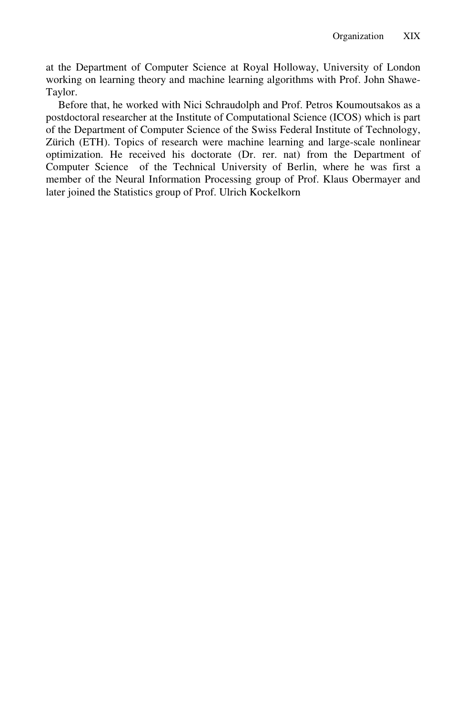at the Department of Computer Science at Royal Holloway, University of London working on learning theory and machine learning algorithms with Prof. John Shawe-Taylor.

Before that, he worked with Nici Schraudolph and Prof. Petros Koumoutsakos as a postdoctoral researcher at the Institute of Computational Science (ICOS) which is part of the Department of Computer Science of the Swiss Federal Institute of Technology, Zürich (ETH). Topics of research were machine learning and large-scale nonlinear optimization. He received his doctorate (Dr. rer. nat) from the Department of Computer Science of the Technical University of Berlin, where he was first a member of the Neural Information Processing group of Prof. Klaus Obermayer and later joined the Statistics group of Prof. Ulrich Kockelkorn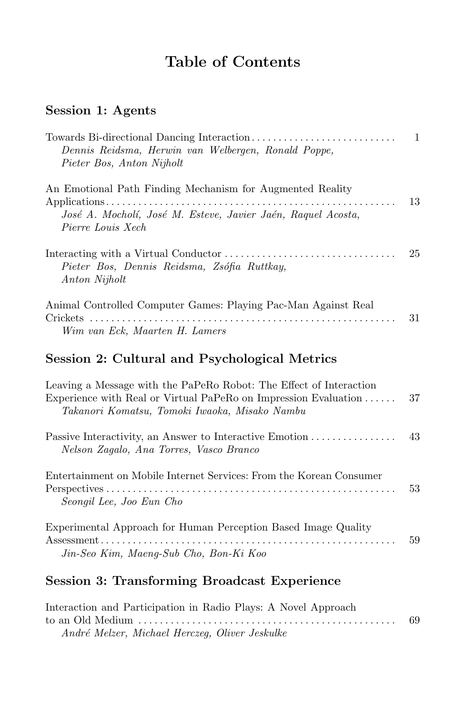# **Table of Contents**

# **Session 1: Agents**

| Dennis Reidsma, Herwin van Welbergen, Ronald Poppe,<br>Pieter Bos, Anton Nijholt                                                                                                       | 1  |
|----------------------------------------------------------------------------------------------------------------------------------------------------------------------------------------|----|
| An Emotional Path Finding Mechanism for Augmented Reality<br>José A. Mocholí, José M. Esteve, Javier Jaén, Raquel Acosta,<br>Pierre Louis Xech                                         | 13 |
| Pieter Bos, Dennis Reidsma, Zsófia Ruttkay,<br>Anton Nijholt                                                                                                                           | 25 |
| Animal Controlled Computer Games: Playing Pac-Man Against Real<br>Wim van Eck, Maarten H. Lamers                                                                                       | 31 |
| Session 2: Cultural and Psychological Metrics                                                                                                                                          |    |
| Leaving a Message with the PaPeRo Robot: The Effect of Interaction<br>Experience with Real or Virtual PaPeRo on Impression Evaluation<br>Takanori Komatsu, Tomoki Iwaoka, Misako Nambu | 37 |
| Passive Interactivity, an Answer to Interactive Emotion<br>Nelson Zagalo, Ana Torres, Vasco Branco                                                                                     | 43 |
| Entertainment on Mobile Internet Services: From the Korean Consumer<br>Seongil Lee, Joo Eun Cho                                                                                        | 53 |
| Experimental Approach for Human Perception Based Image Quality<br>Assessment<br>Jin-Seo Kim, Maeng-Sub Cho, Bon-Ki Koo                                                                 | 59 |
|                                                                                                                                                                                        |    |

# **Session 3: Transforming Broadcast Experience**

| Interaction and Participation in Radio Plays: A Novel Approach                                               |     |
|--------------------------------------------------------------------------------------------------------------|-----|
| to an Old Medium $\dots \dots \dots \dots \dots \dots \dots \dots \dots \dots \dots \dots \dots \dots \dots$ | -69 |
| André Melzer, Michael Herczeg, Oliver Jeskulke                                                               |     |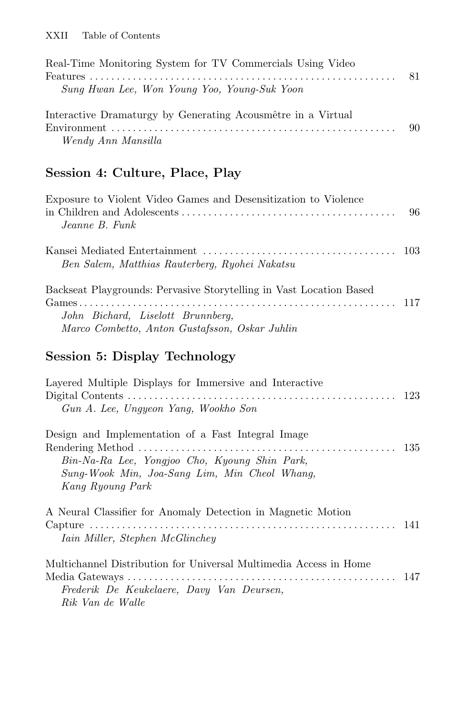| Real-Time Monitoring System for TV Commercials Using Video<br>Sung Hwan Lee, Won Young Yoo, Young-Suk Yoon | -81 |
|------------------------------------------------------------------------------------------------------------|-----|
| Interactive Dramaturgy by Generating Acousmêtre in a Virtual<br>Wendy Ann Mansilla                         | 90  |

# **Session 4: Culture, Place, Play**

| Exposure to Violent Video Games and Desensitization to Violence<br>Jeanne B. Funk                                                                          | 96 |
|------------------------------------------------------------------------------------------------------------------------------------------------------------|----|
| Ben Salem, Matthias Rauterberg, Ryohei Nakatsu                                                                                                             |    |
| Backseat Playgrounds: Pervasive Storytelling in Vast Location Based<br>John Bichard, Liselott Brunnberg,<br>Marco Combetto, Anton Gustafsson, Oskar Juhlin |    |

# **Session 5: Display Technology**

| Layered Multiple Displays for Immersive and Interactive<br>Gun A. Lee, Ungyeon Yang, Wookho Son                                                                          |  |
|--------------------------------------------------------------------------------------------------------------------------------------------------------------------------|--|
| Design and Implementation of a Fast Integral Image<br>Bin-Na-Ra Lee, Yongjoo Cho, Kyoung Shin Park,<br>Sung-Wook Min, Joa-Sang Lim, Min Cheol Whang,<br>Kang Ryoung Park |  |
| A Neural Classifier for Anomaly Detection in Magnetic Motion<br><i>Lain Miller, Stephen McGlinchey</i>                                                                   |  |
| Multichannel Distribution for Universal Multimedia Access in Home<br>Frederik De Keukelaere, Davy Van Deursen,<br>Rik Van de Walle                                       |  |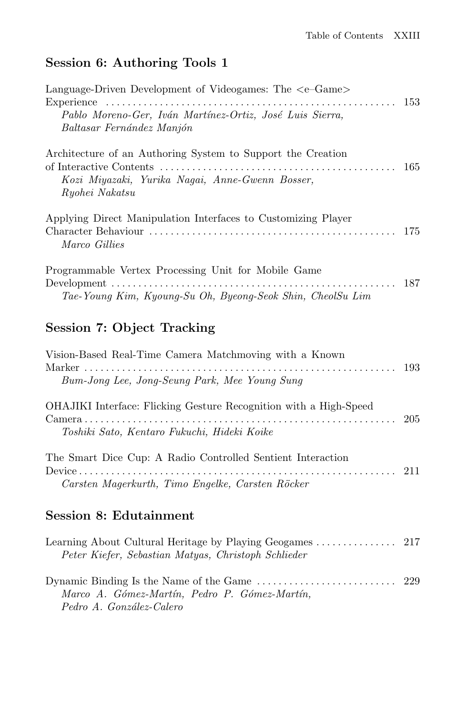# **Session 6: Authoring Tools 1**

| Language-Driven Development of Videogames: The $\langle e$ -Game>                                                                |  |
|----------------------------------------------------------------------------------------------------------------------------------|--|
| Pablo Moreno-Ger, Iván Martínez-Ortiz, José Luis Sierra,<br>Baltasar Fernández Manjón                                            |  |
| Architecture of an Authoring System to Support the Creation<br>Kozi Miyazaki, Yurika Nagai, Anne-Gwenn Bosser,<br>Ryohei Nakatsu |  |
| Applying Direct Manipulation Interfaces to Customizing Player<br>Marco Gillies                                                   |  |
| Programmable Vertex Processing Unit for Mobile Game<br>Tae-Young Kim, Kyoung-Su Oh, Byeong-Seok Shin, CheolSu Lim                |  |

# **Session 7: Object Tracking**

| Vision-Based Real-Time Camera Matchmoving with a Known<br>Bum-Jong Lee, Jong-Seung Park, Mee Young Sung                 |  |
|-------------------------------------------------------------------------------------------------------------------------|--|
| <b>OHAJIKI</b> Interface: Flicking Gesture Recognition with a High-Speed<br>Toshiki Sato, Kentaro Fukuchi, Hideki Koike |  |
| The Smart Dice Cup: A Radio Controlled Sentient Interaction<br>Carsten Magerkurth, Timo Engelke, Carsten Röcker         |  |

# **Session 8: Edutainment**

| Peter Kiefer, Sebastian Matyas, Christoph Schlieder |  |
|-----------------------------------------------------|--|
|                                                     |  |
|                                                     |  |
| Marco A. Gómez-Martín, Pedro P. Gómez-Martín,       |  |
| Pedro A. González-Calero                            |  |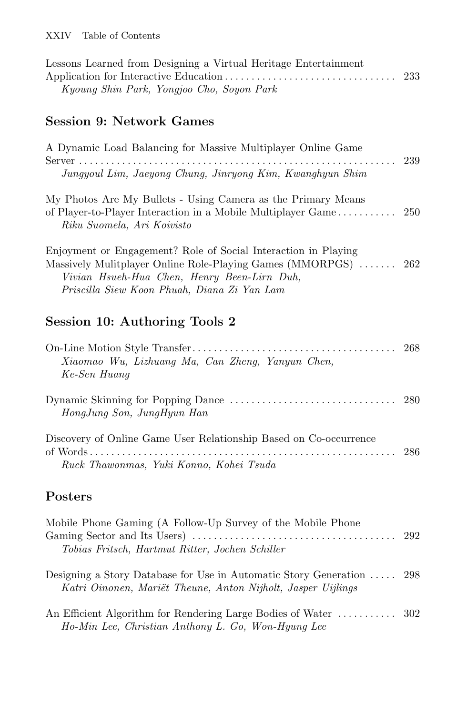| Lessons Learned from Designing a Virtual Heritage Entertainment |  |
|-----------------------------------------------------------------|--|
|                                                                 |  |
| Kyoung Shin Park, Yongjoo Cho, Soyon Park                       |  |

# **Session 9: Network Games**

| A Dynamic Load Balancing for Massive Multiplayer Online Game<br>Jungyoul Lim, Jaeyong Chung, Jinryong Kim, Kwanghyun Shim                                                                                                      |  |
|--------------------------------------------------------------------------------------------------------------------------------------------------------------------------------------------------------------------------------|--|
| My Photos Are My Bullets - Using Camera as the Primary Means<br>Riku Suomela, Ari Koivisto                                                                                                                                     |  |
| Enjoyment or Engagement? Role of Social Interaction in Playing<br>Massively Mulitplayer Online Role-Playing Games (MMORPGS)  262<br>Vivian Hsueh-Hua Chen, Henry Been-Lirn Duh,<br>Priscilla Siew Koon Phuah, Diana Zi Yan Lam |  |

# **Session 10: Authoring Tools 2**

| Xiaomao Wu, Lizhuang Ma, Can Zheng, Yanyun Chen,                  |  |
|-------------------------------------------------------------------|--|
| Ke-Sen Huang                                                      |  |
|                                                                   |  |
|                                                                   |  |
| HongJung Son, JungHyun Han                                        |  |
|                                                                   |  |
| Discovery of Online Game User Relationship Based on Co-occurrence |  |
|                                                                   |  |
| Ruck Thawonmas, Yuki Konno, Kohei Tsuda                           |  |

# **Posters**

| Mobile Phone Gaming (A Follow-Up Survey of the Mobile Phone           |  |
|-----------------------------------------------------------------------|--|
|                                                                       |  |
| Tobias Fritsch, Hartmut Ritter, Jochen Schiller                       |  |
|                                                                       |  |
| Designing a Story Database for Use in Automatic Story Generation  298 |  |
| Katri Oinonen, Mariët Theune, Anton Nijholt, Jasper Uijlings          |  |
|                                                                       |  |
| An Efficient Algorithm for Rendering Large Bodies of Water  302       |  |
| Ho-Min Lee, Christian Anthony L. Go, Won-Hyung Lee                    |  |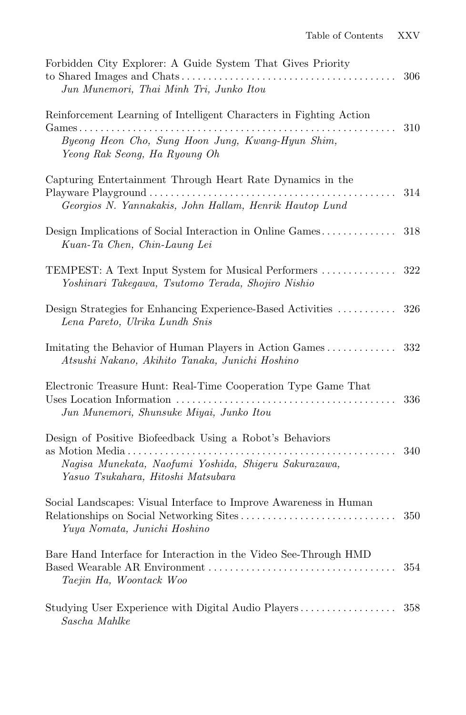| Forbidden City Explorer: A Guide System That Gives Priority<br>Jun Munemori, Thai Minh Tri, Junko Itou                                                                                    | 306 |
|-------------------------------------------------------------------------------------------------------------------------------------------------------------------------------------------|-----|
| Reinforcement Learning of Intelligent Characters in Fighting Action<br>$Games \ldots \ldots \ldots$<br>Byeong Heon Cho, Sung Hoon Jung, Kwang-Hyun Shim,<br>Yeong Rak Seong, Ha Ryoung Oh | 310 |
| Capturing Entertainment Through Heart Rate Dynamics in the<br>Georgios N. Yannakakis, John Hallam, Henrik Hautop Lund                                                                     | 314 |
| Design Implications of Social Interaction in Online Games<br>Kuan-Ta Chen, Chin-Laung Lei                                                                                                 | 318 |
| TEMPEST: A Text Input System for Musical Performers<br>Yoshinari Takegawa, Tsutomo Terada, Shojiro Nishio                                                                                 | 322 |
| Design Strategies for Enhancing Experience-Based Activities<br>Lena Pareto, Ulrika Lundh Snis                                                                                             | 326 |
| Imitating the Behavior of Human Players in Action Games<br>Atsushi Nakano, Akihito Tanaka, Junichi Hoshino                                                                                | 332 |
| Electronic Treasure Hunt: Real-Time Cooperation Type Game That<br>Jun Munemori, Shunsuke Miyai, Junko Itou                                                                                | 336 |
| Design of Positive Biofeedback Using a Robot's Behaviors<br>Nagisa Munekata, Naofumi Yoshida, Shigeru Sakurazawa,<br>Yasuo Tsukahara, Hitoshi Matsubara                                   | 340 |
| Social Landscapes: Visual Interface to Improve Awareness in Human<br>Yuya Nomata, Junichi Hoshino                                                                                         | 350 |
| Bare Hand Interface for Interaction in the Video See-Through HMD<br>Taejin Ha, Woontack Woo                                                                                               | 354 |
| Studying User Experience with Digital Audio Players<br>Sascha Mahlke                                                                                                                      | 358 |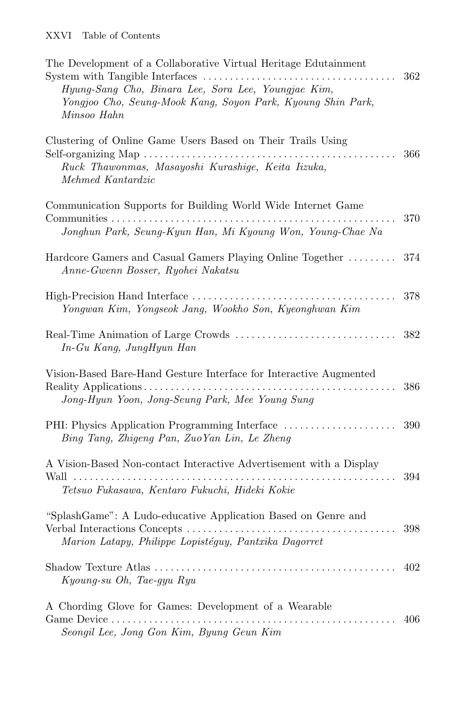| The Development of a Collaborative Virtual Heritage Edutainment                                                                        | 362 |
|----------------------------------------------------------------------------------------------------------------------------------------|-----|
| Hyung-Sang Cho, Binara Lee, Sora Lee, Youngjae Kim,<br>Yongjoo Cho, Seung-Mook Kang, Soyon Park, Kyoung Shin Park,<br>Minsoo Hahn      |     |
| Clustering of Online Game Users Based on Their Trails Using<br>Ruck Thawonmas, Masayoshi Kurashige, Keita Iizuka,<br>Mehmed Kantardzic | 366 |
| Communication Supports for Building World Wide Internet Game                                                                           | 370 |
| Jonghun Park, Seung-Kyun Han, Mi Kyoung Won, Young-Chae Na                                                                             |     |
| Hardcore Gamers and Casual Gamers Playing Online Together<br>Anne-Gwenn Bosser, Ryohei Nakatsu                                         | 374 |
| Yongwan Kim, Yongseok Jang, Wookho Son, Kyeonghwan Kim                                                                                 | 378 |
| In-Gu Kang, JungHyun Han                                                                                                               |     |
| Vision-Based Bare-Hand Gesture Interface for Interactive Augmented<br>Jong-Hyun Yoon, Jong-Seung Park, Mee Young Sung                  | 386 |
| Bing Tang, Zhigeng Pan, ZuoYan Lin, Le Zheng                                                                                           | 390 |
| A Vision-Based Non-contact Interactive Advertisement with a Display<br>Wall<br>Tetsuo Fukasawa, Kentaro Fukuchi, Hideki Kokie          | 394 |
| "SplashGame": A Ludo-educative Application Based on Genre and<br>Marion Latapy, Philippe Lopistéguy, Pantxika Dagorret                 | 398 |
| Kyoung-su Oh, Tae-gyu Ryu                                                                                                              | 402 |
| A Chording Glove for Games: Development of a Wearable<br>Game Device<br>.                                                              | 406 |
| Seongil Lee, Jong Gon Kim, Byung Geun Kim                                                                                              |     |